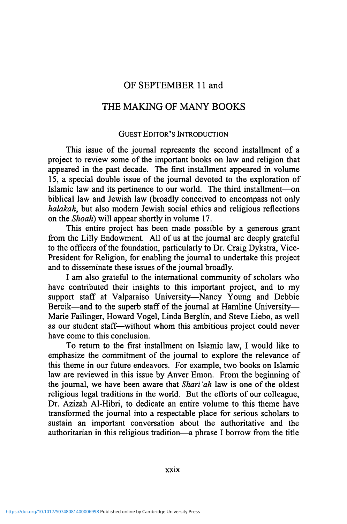## OF SEPTEMBER 11 and

## THE MAKING OF MANY BOOKS

## GUEST EDITOR'S INTRODUCTION

This issue of the journal represents the second installment of a project to review some of the important books on law and religion that appeared in the past decade. The first installment appeared in volume 15, a special double issue of the journal devoted to the exploration of Islamic law and its pertinence to our world. The third installment—on biblical law and Jewish law (broadly conceived to encompass not only *halakah,* but also modern Jewish social ethics and religious reflections on the *Shoah)* will appear shortly in volume 17.

This entire project has been made possible by a generous grant from the Lilly Endowment. All of us at the journal are deeply grateful to the officers of the foundation, particularly to Dr. Craig Dykstra, Vice-President for Religion, for enabling the journal to undertake this project and to disseminate these issues of the journal broadly.

I am also grateful to the international community of scholars who have contributed their insights to this important project, and to my support staff at Valparaiso University—Nancy Young and Debbie Bercik—and to the superb staff of the journal at Hamline University— Marie Failinger, Howard Vogel, Linda Berglin, and Steve Liebo, as well as our student staff—without whom this ambitious project could never have come to this conclusion.

To return to the first installment on Islamic law, I would like to emphasize the commitment of the journal to explore the relevance of this theme in our future endeavors. For example, two books on Islamic law are reviewed in this issue by Anver Emon. From the beginning of the journal, we have been aware that *Shari 'ah* law is one of the oldest religious legal traditions in the world. But the efforts of our colleague, Dr. Azizah Al-Hibri, to dedicate an entire volume to this theme have transformed the journal into a respectable place for serious scholars to sustain an important conversation about the authoritative and the authoritarian in this religious tradition—a phrase I borrow from the title

xxix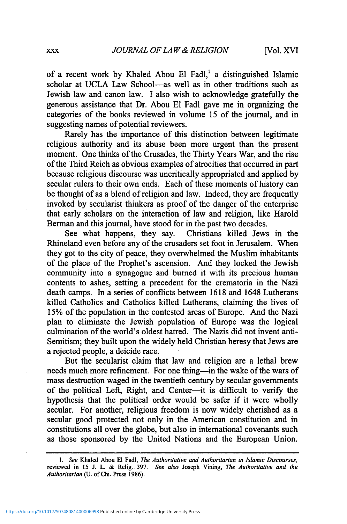of a recent work by Khaled Abou El Fadl,<sup>1</sup> a distinguished Islamic scholar at UCLA Law School—as well as in other traditions such as Jewish law and canon law. I also wish to acknowledge gratefully the generous assistance that Dr. Abou El Fadl gave me in organizing the categories of the books reviewed in volume 15 of the journal, and in suggesting names of potential reviewers.

Rarely has the importance of this distinction between legitimate religious authority and its abuse been more urgent than the present moment. One thinks of the Crusades, the Thirty Years War, and the rise of the Third Reich as obvious examples of atrocities that occurred in part because religious discourse was uncritically appropriated and applied by secular rulers to their own ends. Each of these moments of history can be thought of as a blend of religion and law. Indeed, they are frequently invoked by secularist thinkers as proof of the danger of the enterprise that early scholars on the interaction of law and religion, like Harold Berman and this journal, have stood for in the past two decades.

See what happens, they say. Christians killed Jews in the Rhineland even before any of the crusaders set foot in Jerusalem. When they got to the city of peace, they overwhelmed the Muslim inhabitants of the place of the Prophet's ascension. And they locked the Jewish community into a synagogue and burned it with its precious human contents to ashes, setting a precedent for the crematoria in the Nazi death camps. In a series of conflicts between 1618 and 1648 Lutherans killed Catholics and Catholics killed Lutherans, claiming the lives of 15% of the population in the contested areas of Europe. And the Nazi plan to eliminate the Jewish population of Europe was the logical culmination of the world's oldest hatred. The Nazis did not invent anti-Semitism; they built upon the widely held Christian heresy that Jews are a rejected people, a deicide race.

But the secularist claim that law and religion are a lethal brew needs much more refinement. For one thing—in the wake of the wars of mass destruction waged in the twentieth century by secular governments of the political Left, Right, and Center—it is difficult to verify the hypothesis that the political order would be safer if it were wholly secular. For another, religious freedom is now widely cherished as a secular good protected not only in the American constitution and in constitutions all over the globe, but also in international covenants such as those sponsored by the United Nations and the European Union.

**<sup>1.</sup>** *See* **Khaled Abou El Fadl,** *The Authoritative and Authoritarian in Islamic Discourses,*  **reviewed in 15 J. L. & Relig. 397.** *See also* **Joseph Vining,** *The Authoritative and the Authoritarian* **(U. of Chi. Press 1986).**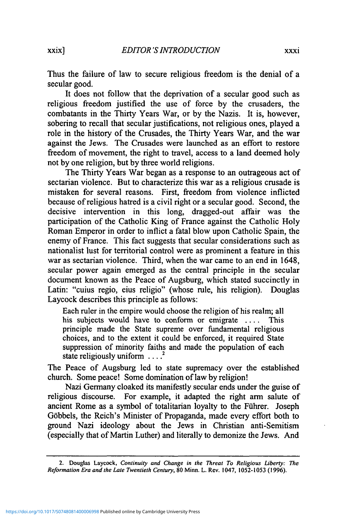Thus the failure of law to secure religious freedom is the denial of a secular good.

It does not follow that the deprivation of a secular good such as religious freedom justified the use of force by the crusaders, the combatants in the Thirty Years War, or by the Nazis. It is, however, sobering to recall that secular justifications, not religious ones, played a role in the history of the Crusades, the Thirty Years War, and the war against the Jews. The Crusades were launched as an effort to restore freedom of movement, the right to travel, access to a land deemed holy not by one religion, but by three world religions.

The Thirty Years War began as a response to an outrageous act of sectarian violence. But to characterize this war as a religious crusade is mistaken for several reasons. First, freedom from violence inflicted because of religious hatred is a civil right or a secular good. Second, the decisive intervention in this long, dragged-out affair was the participation of the Catholic King of France against the Catholic Holy Roman Emperor in order to inflict a fatal blow upon Catholic Spain, the enemy of France. This fact suggests that secular considerations such as nationalist lust for territorial control were as prominent a feature in this war as sectarian violence. Third, when the war came to an end in 1648, secular power again emerged as the central principle in the secular document known as the Peace of Augsburg, which stated succinctly in Latin: "cuius regio, eius religio" (whose rule, his religion). Douglas Laycock describes this principle as follows:

Each ruler in the empire would choose the religion of his realm; all his subjects would have to conform or emigrate ... . This principle made the State supreme over fundamental religious choices, and to the extent it could be enforced, it required State suppression of minority faiths and made the population of each state religiously uniform  $\dots$ .

The Peace of Augsburg led to state supremacy over the established church. Some peace! Some domination of law by religion!

Nazi Germany cloaked its manifestly secular ends under the guise of religious discourse. For example, it adapted the right arm salute of ancient Rome as a symbol of totalitarian loyalty to the Führer. Joseph Göbbels, the Reich's Minister of Propaganda, made every effort both to ground Nazi ideology about the Jews in Christian anti-Semitism (especially that of Martin Luther) and literally to demonize the Jews. And

**<sup>2.</sup> Douglas Laycock,** *Continuity and Change in the Threat To Religious Liberty: The Reformation Era and the Late Twentieth Century,* **80 Minn. L. Rev. 1047, 1052-1053 (1996).**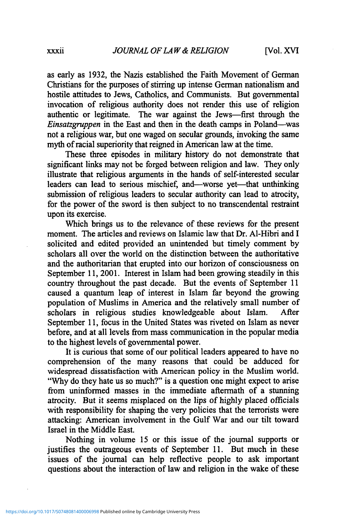as early as 1932, the Nazis established the Faith Movement of German Christians for the purposes of stirring up intense German nationalism and hostile attitudes to Jews, Catholics, and Communists. But governmental invocation of religious authority does not render this use of religion authentic or legitimate. The war against the Jews—first through the *Einsatzgruppen* in the East and then in the death camps in Poland—was not a religious war, but one waged on secular grounds, invoking the same myth of racial superiority that reigned in American law at the time.

These three episodes in military history do not demonstrate that significant links may not be forged between religion and law. They only illustrate that religious arguments in the hands of self-interested secular leaders can lead to serious mischief, and—worse yet—that unthinking submission of religious leaders to secular authority can lead to atrocity, for the power of the sword is then subject to no transcendental restraint upon its exercise.

Which brings us to the relevance of these reviews for the present moment. The articles and reviews on Islamic law that Dr. Al-Hibri and I solicited and edited provided an unintended but timely comment by scholars all over the world on the distinction between the authoritative and the authoritarian that erupted into our horizon of consciousness on September 11, 2001. Interest in Islam had been growing steadily in this country throughout the past decade. But the events of September 11 caused a quantum leap of interest in Islam far beyond the growing population of Muslims in America and the relatively small number of scholars in religious studies knowledgeable about Islam. After September 11, focus in the United States was riveted on Islam as never before, and at all levels from mass communication in the popular media to the highest levels of governmental power.

It is curious that some of our political leaders appeared to have no comprehension of the many reasons that could be adduced for widespread dissatisfaction with American policy in the Muslim world. "Why do they hate us so much?" is a question one might expect to arise from uninformed masses in the immediate aftermath of a stunning atrocity. But it seems misplaced on the lips of highly placed officials with responsibility for shaping the very policies that the terrorists were attacking: American involvement in the Gulf War and our tilt toward Israel in the Middle East.

Nothing in volume 15 or this issue of the journal supports or justifies the outrageous events of September 11. But much in these issues of the journal can help reflective people to ask important questions about the interaction of law and religion in the wake of these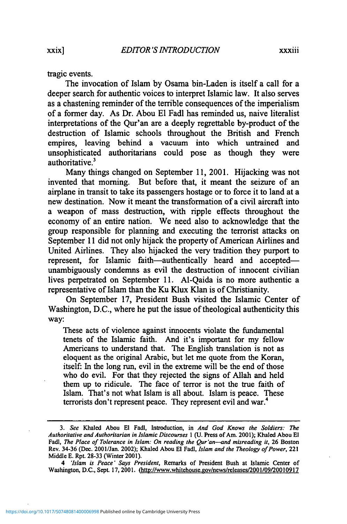tragic events.

The invocation of Islam by Osama bin-Laden is itself a call for a deeper search for authentic voices to interpret Islamic law. It also serves as a chastening reminder of the terrible consequences of the imperialism of a former day. As Dr. Abou El Fadl has reminded us, naive literalist interpretations of the Qur'an are a deeply regrettable by-product of the destruction of Islamic schools throughout the British and French empires, leaving behind a vacuum into which untrained and unsophisticated authoritarians could pose as though they were authoritative.<sup>3</sup>

Many things changed on September 11, 2001. Hijacking was not invented that morning. But before that, it meant the seizure of an airplane in transit to take its passengers hostage or to force it to land at a new destination. Now it meant the transformation of a civil aircraft into a weapon of mass destruction, with ripple effects throughout the economy of an entire nation. We need also to acknowledge that the group responsible for planning and executing the terrorist attacks on September 11 did not only hijack the property of American Airlines and United Airlines. They also hijacked the very tradition they purport to represent, for Islamic faith—authentically heard and accepted unambiguously condemns as evil the destruction of innocent civilian lives perpetrated on September 11. Al-Qaida is no more authentic a representative of Islam than the Ku Klux Klan is of Christianity.

On September 17, President Bush visited the Islamic Center of Washington, D.C., where he put the issue of theological authenticity this way:

These acts of violence against innocents violate the fundamental tenets of the Islamic faith. And it's important for my fellow Americans to understand that. The English translation is not as eloquent as the original Arabic, but let me quote from the Koran, itself: In the long run, evil in the extreme will be the end of those who do evil. For that they rejected the signs of Allah and held them up to ridicule. The face of terror is not the true faith of Islam. That's not what Islam is all about. Islam is peace. These terrorists don't represent peace. They represent evil and war.<sup>4</sup>

**<sup>3.</sup>** *See* **Khaled Abou El Fadl, Introduction, in** *And God Knows the Soldiers: The Authoritative and Authoritarian in Islamic Discourses* **1 (U. Press of Am. 2001); Khaled Abou El Fadl,** *The Place of Tolerance in Islam: On reading the Qur'an***—***and misreading it,* **26 Boston Rev. 34-36 (Dec. 2001/Jan. 2002); Khaled Abou El Fadl,** *[Islam and the Theology o](http://www.whitehouse,gov/news/releases/2001)f Power,* **221 Middle E. Rpt. 28-33 (Winter 2001).** 

**<sup>4</sup>** *'Islam is Peace' Says President,* **Remarks of President Bush at Islamic Center of**  Washington, D.C., Sept. 17, 2001. (http://www.whitehouse.gov/news/releases/2001/09/20010917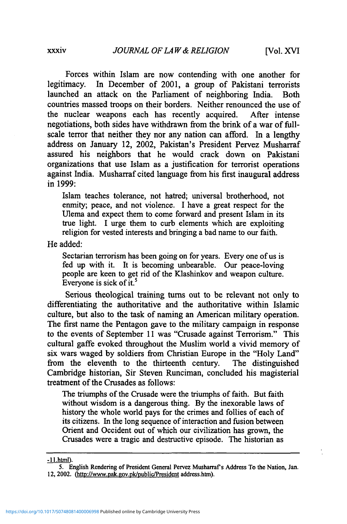Forces within Islam are now contending with one another for legitimacy. In December of 2001, a group of Pakistani terrorists launched an attack on the Parliament of neighboring India. Both countries massed troops on their borders. Neither renounced the use of the nuclear weapons each has recently acquired. After intense negotiations, both sides have withdrawn from the brink of a war of fullscale terror that neither they nor any nation can afford. In a lengthy address on January 12, 2002, Pakistan's President Pervez Musharraf assured his neighbors that he would crack down on Pakistani organizations that use Islam as a justification for terrorist operations against India. Musharraf cited language from his first inaugural address in 1999:

Islam teaches tolerance, not hatred; universal brotherhood, not enmity; peace, and not violence. I have a great respect for the Ulema and expect them to come forward and present Islam in its true light. I urge them to curb elements which are exploiting religion for vested interests and bringing a bad name to our faith.

He added:

Sectarian terrorism has been going on for years. Every one of us is fed up with it. It is becoming unbearable. Our peace-loving people are keen to get rid of the Klashinkov and weapon culture. Everyone is sick of it.<sup>5</sup>

Serious theological training turns out to be relevant not only to differentiating the authoritative and the authoritative within Islamic culture, but also to the task of naming an American military operation. The first name the Pentagon gave to the military campaign in response to the events of September 11 was "Crusade against Terrorism." This cultural gaffe evoked throughout the Muslim world a vivid memory of six wars waged by soldiers from Christian Europe in the "Holy Land" from the eleventh to the thirteenth century. The distinguished Cambridge historian, Sir Steven Runciman, concluded his magisterial treatment of the Crusades as follows:

The triumphs of the Crusade were the triumphs of faith. But faith without wisdom is a dangerous thing. By the inexorable laws of history the whole world pays for the crimes and follies of each of its citizens. In the long sequence of interaction and fusion between Orient and Occident out of which our civilization has grown, the Crusades were a tragic and destructive episode. The historian as

**<sup>-11.</sup>html).** 

**<sup>5.</sup> English Rendering of President General Pervez Musharraf s Address To the Nation, Jan.**  12, 2002. (http://www.pak.gov.pk/public/President address.htm).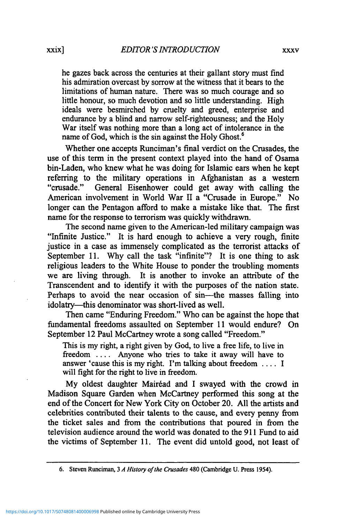he gazes back across the centuries at their gallant story must find his admiration overcast by sorrow at the witness that it bears to the limitations of human nature. There was so much courage and so little honour, so much devotion and so little understanding. High ideals were besmirched by cruelty and greed, enterprise and endurance by a blind and narrow self-righteousness; and the Holy War itself was nothing more than a long act of intolerance in the name of God, which is the sin against the Holy Ghost.<sup>6</sup>

Whether one accepts Runciman's final verdict on the Crusades, the use of this term in the present context played into the hand of Osama bin-Laden, who knew what he was doing for Islamic ears when he kept referring to the military operations in Afghanistan as a western "crusade." General Eisenhower could get away with calling the American involvement in World War II a "Crusade in Europe." No longer can the Pentagon afford to make a mistake like that. The first name for the response to terrorism was quickly withdrawn.

The second name given to the American-led military campaign was "Infinite Justice." It is hard enough to achieve a very rough, finite justice in a case as immensely complicated as the terrorist attacks of September 11. Why call the task "infinite"? It is one thing to ask religious leaders to the White House to ponder the troubling moments we are living through. It is another to invoke an attribute of the Transcendent and to identify it with the purposes of the nation state. Perhaps to avoid the near occasion of sin—the masses falling into idolatry—this denominator was short-lived as well.

Then came "Enduring Freedom." Who can be against the hope that fundamental freedoms assaulted on September 11 would endure? On September 12 Paul McCartney wrote a song called "Freedom."

This is my right, a right given by God, to live a free life, to live in freedom ... . Anyone who tries to take it away will have to answer 'cause this is my right. I'm talking about freedom ... . I will fight for the right to live in freedom.

My oldest daughter Mairéad and I swayed with the crowd in Madison Square Garden when McCartney performed this song at the end of the Concert for New York City on October 20. All the artists and celebrities contributed their talents to the cause, and every penny from the ticket sales and from the contributions that poured in from the television audience around the world was donated to the 911 Fund to aid the victims of September 11. The event did untold good, not least of

**<sup>6.</sup> Steven Runciman, 3** *A History of the Crusades* **480 (Cambridge U. Press 1954).**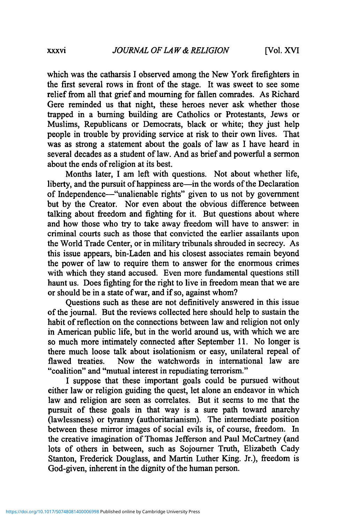which was the catharsis I observed among the New York firefighters in the first several rows in front of the stage. It was sweet to see some relief from all that grief and mourning for fallen comrades. As Richard Gere reminded us that night, these heroes never ask whether those trapped in a burning building are Catholics or Protestants, Jews or Muslims, Republicans or Democrats, black or white; they just help people in trouble by providing service at risk to their own lives. That was as strong a statement about the goals of law as I have heard in several decades as a student of law. And as brief and powerful a sermon about the ends of religion at its best.

Months later, I am left with questions. Not about whether life, liberty, and the pursuit of happiness are—in the words of the Declaration of Independence—"unalienable rights" given to us not by government but by the Creator. Nor even about the obvious difference between talking about freedom and fighting for it. But questions about where and how those who try to take away freedom will have to answer: in criminal courts such as those that convicted the earlier assailants upon the World Trade Center, or in military tribunals shrouded in secrecy. As this issue appears, bin-Laden and his closest associates remain beyond the power of law to require them to answer for the enormous crimes with which they stand accused. Even more fundamental questions still haunt us. Does fighting for the right to live in freedom mean that we are or should be in a state of war, and if so, against whom?

Questions such as these are not definitively answered in this issue of the journal. But the reviews collected here should help to sustain the habit of reflection on the connections between law and religion not only in American public life, but in the world around us, with which we are so much more intimately connected after September 11. No longer is there much loose talk about isolationism or easy, unilateral repeal of flawed treaties. Now the watchwords in international law are "coalition" and "mutual interest in repudiating terrorism."

I suppose that these important goals could be pursued without either law or religion guiding the quest, let alone an endeavor in which law and religion are seen as correlates. But it seems to me that the pursuit of these goals in that way is a sure path toward anarchy (lawlessness) or tyranny (authoritarianism). The intermediate position between these mirror images of social evils is, of course, freedom. In the creative imagination of Thomas Jefferson and Paul McCartney (and lots of others in between, such as Sojourner Truth, Elizabeth Cady Stanton, Frederick Douglass, and Martin Luther King. Jr.), freedom is God-given, inherent in the dignity of the human person.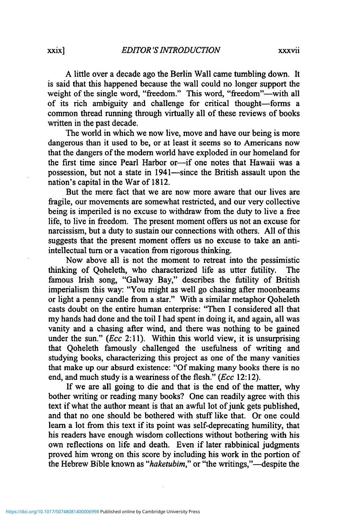A little over a decade ago the Berlin Wall came tumbling down. It is said that this happened because the wall could no longer support the weight of the single word, "freedom." This word, "freedom"—with all of its rich ambiguity and challenge for critical thought—forms a common thread running through virtually all of these reviews of books written in the past decade.

The world in which we now live, move and have our being is more dangerous than it used to be, or at least it seems so to Americans now that the dangers of the modern world have exploded in our homeland for the first time since Pearl Harbor or—if one notes that Hawaii was a possession, but not a state in 1941—since the British assault upon the nation's capital in the War of 1812.

But the mere fact that we are now more aware that our lives are fragile, our movements are somewhat restricted, and our very collective being is imperiled is no excuse to withdraw from the duty to live a free life, to live in freedom. The present moment offers us not an excuse for narcissism, but a duty to sustain our connections with others. All of this suggests that the present moment offers us no excuse to take an antiintellectual turn or a vacation from rigorous thinking.

Now above all is not the moment to retreat into the pessimistic thinking of Qoheleth, who characterized life as utter futility. The famous Irish song, "Galway Bay," describes the futility of British imperialism this way: "You might as well go chasing after moonbeams or light a penny candle from a star." With a similar metaphor Qoheleth casts doubt on the entire human enterprise: "Then I considered all that my hands had done and the toil I had spent in doing it, and again, all was vanity and a chasing after wind, and there was nothing to be gained under the sun." *(Ecc* 2:11). Within this world view, it is unsurprising that Qoheleth famously challenged the usefulness of writing and studying books, characterizing this project as one of the many vanities that make up our absurd existence: "Of making many books there is no end, and much study is a weariness of the flesh." *(Ecc* 12:12).

If we are all going to die and that is the end of the matter, why bother writing or reading many books? One can readily agree with this text if what the author meant is that an awful lot of junk gets published, and that no one should be bothered with stuff like that. Or one could learn a lot from this text if its point was self-deprecating humility, that his readers have enough wisdom collections without bothering with his own reflections on life and death. Even if later rabbinical judgments proved him wrong on this score by including his work in the portion of the Hebrew Bible known as *"haketubim,"* or "the writings,"—despite the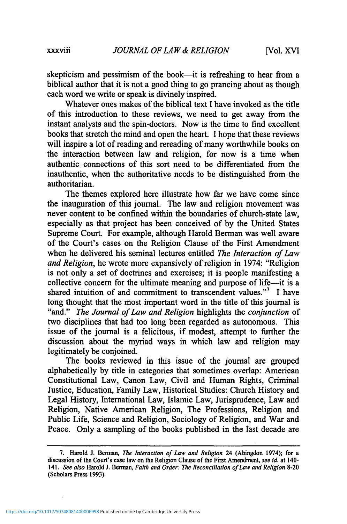skepticism and pessimism of the book—it is refreshing to hear from a biblical author that it is not a good thing to go prancing about as though each word we write or speak is divinely inspired.

Whatever ones makes of the biblical text I have invoked as the title of this introduction to these reviews, we need to get away from the instant analysts and the spin-doctors. Now is the time to find excellent books that stretch the mind and open the heart. I hope that these reviews will inspire a lot of reading and rereading of many worthwhile books on the interaction between law and religion, for now is a time when authentic connections of this sort need to be differentiated from the inauthentic, when the authoritative needs to be distinguished from the authoritarian.

The themes explored here illustrate how far we have come since the inauguration of this journal. The law and religion movement was never content to be confined within the boundaries of church-state law, especially as that project has been conceived of by the United States Supreme Court. For example, although Harold Berman was well aware of the Court's cases on the Religion Clause of the First Amendment when he delivered his seminal lectures entitled *The Interaction of Law and Religion,* he wrote more expansively of religion in 1974: "Religion is not only a set of doctrines and exercises; it is people manifesting a collective concern for the ultimate meaning and purpose of life—it is a shared intuition of and commitment to transcendent values."<sup>7</sup> I have long thought that the most important word in the title of this journal is "and." *The Journal of Law and Religion* highlights the *conjunction* of two disciplines that had too long been regarded as autonomous. This issue of the journal is a felicitous, if modest, attempt to further the discussion about the myriad ways in which law and religion may legitimately be conjoined.

The books reviewed in this issue of the journal are grouped alphabetically by title in categories that sometimes overlap: American Constitutional Law, Canon Law, Civil and Human Rights, Criminal Justice, Education, Family Law, Historical Studies: Church History and Legal History, International Law, Islamic Law, Jurisprudence, Law and Religion, Native American Religion, The Professions, Religion and Public Life, Science and Religion, Sociology of Religion, and War and Peace. Only a sampling of the books published in the last decade are

**<sup>7.</sup> Harold J. Berman,** *The Interaction of Law and Religion* **24 (Abingdon 1974); for a discussion of the Court's case law on the Religion Clause of the First Amendment,** *see id.* **at 140- 141.** *See also* **Harold J. Berman,** *Faith and Order: The Reconciliation of Law and Religion* **8-20 (Scholars Press 1993).**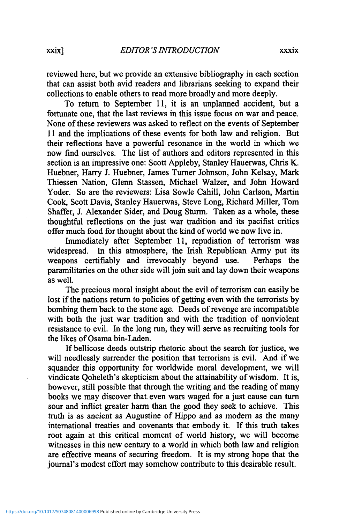reviewed here, but we provide an extensive bibliography in each section that can assist both avid readers and librarians seeking to expand their collections to enable others to read more broadly and more deeply.

To return to September 11, it is an unplanned accident, but a fortunate one, that the last reviews in this issue focus on war and peace. None of these reviewers was asked to reflect on the events of September 11 and the implications of these events for both law and religion. But their reflections have a powerful resonance in the world in which we now find ourselves. The list of authors and editors represented in this section is an impressive one: Scott Appleby, Stanley Hauerwas, Chris K. Huebner, Harry J. Huebner, James Turner Johnson, John Kelsay, Mark Thiessen Nation, Glenn Stassen, Michael Walzer, and John Howard Yoder. So are the reviewers: Lisa Sowle Cahill, John Carlson, Martin Cook, Scott Davis, Stanley Hauerwas, Steve Long, Richard Miller, Tom Shaffer, J. Alexander Sider, and Doug Sturm. Taken as a whole, these thoughtful reflections on the just war tradition and its pacifist critics offer much food for thought about the kind of world we now live in.

Immediately after September 11, repudiation of terrorism was widespread. In this atmosphere, the Irish Republican Army put its weapons certifiably and irrevocably beyond use. Perhaps the weapons certifiably and irrevocably beyond use. paramilitaries on the other side will join suit and lay down their weapons as well.

The precious moral insight about the evil of terrorism can easily be lost if the nations return to policies of getting even with the terrorists by bombing them back to the stone age. Deeds of revenge are incompatible with both the just war tradition and with the tradition of nonviolent resistance to evil. In the long run, they will serve as recruiting tools for the likes of Osama bin-Laden.

If bellicose deeds outstrip rhetoric about the search for justice, we will needlessly surrender the position that terrorism is evil. And if we squander this opportunity for worldwide moral development, we will vindicate Qoheleth's skepticism about the attainability of wisdom. It is, however, still possible that through the writing and the reading of many books we may discover that even wars waged for a just cause can turn sour and inflict greater harm than the good they seek to achieve. This truth is as ancient as Augustine of Hippo and as modern as the many international treaties and covenants that embody it. If this truth takes root again at this critical moment of world history, we will become witnesses in this new century to a world in which both law and religion are effective means of securing freedom. It is my strong hope that the journal's modest effort may somehow contribute to this desirable result.